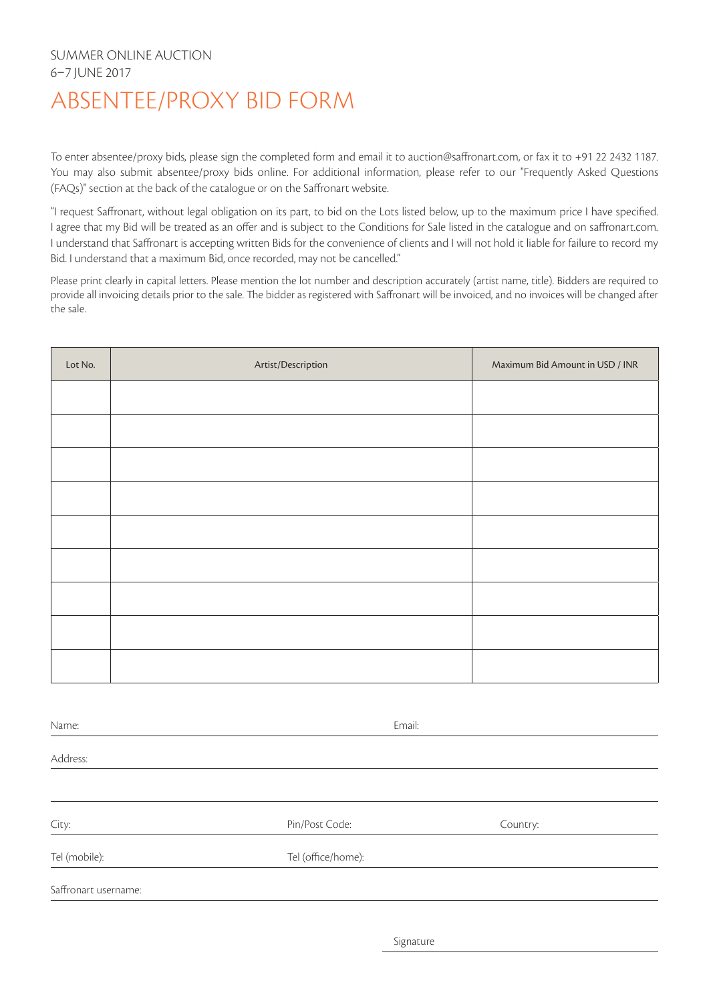## SUMMER ONLINE AUCTION 6–7 JUNE 2017 ABSENTEE/PROXY BID FORM

To enter absentee/proxy bids, please sign the completed form and email it to auction@saffronart.com, or fax it to +91 22 2432 1187. You may also submit absentee/proxy bids online. For additional information, please refer to our "Frequently Asked Questions (FAQs)" section at the back of the catalogue or on the Saffronart website.

"I request Saffronart, without legal obligation on its part, to bid on the Lots listed below, up to the maximum price I have specified. I agree that my Bid will be treated as an offer and is subject to the Conditions for Sale listed in the catalogue and on saffronart.com. I understand that Saffronart is accepting written Bids for the convenience of clients and I will not hold it liable for failure to record my Bid. I understand that a maximum Bid, once recorded, may not be cancelled."

Please print clearly in capital letters. Please mention the lot number and description accurately (artist name, title). Bidders are required to provide all invoicing details prior to the sale. The bidder as registered with Saffronart will be invoiced, and no invoices will be changed after the sale.

| Lot No. | Artist/Description | Maximum Bid Amount in USD / INR |
|---------|--------------------|---------------------------------|
|         |                    |                                 |
|         |                    |                                 |
|         |                    |                                 |
|         |                    |                                 |
|         |                    |                                 |
|         |                    |                                 |
|         |                    |                                 |
|         |                    |                                 |
|         |                    |                                 |

Name: Email: Address: City: Pin/Post Code: Country: Tel (mobile): Tel (office/home): Saffronart username:

Signature